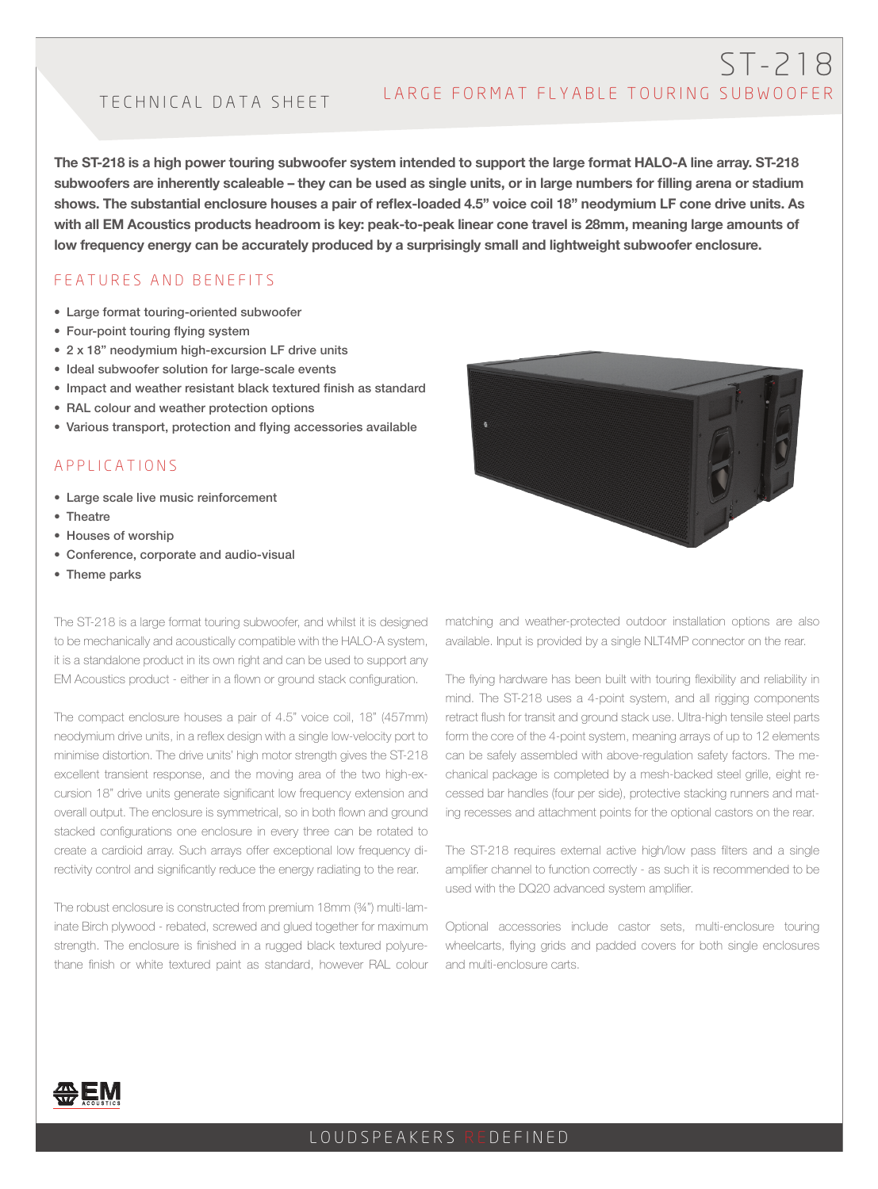# ST-218 LARGE FORMAT FLYABLE TOURING SUBWOOFER

# TECHNICAL DATA SHEET

The ST-218 is a high power touring subwoofer system intended to support the large format HALO-A line array. ST-218 subwoofers are inherently scaleable – they can be used as single units, or in large numbers for filling arena or stadium shows. The substantial enclosure houses a pair of reflex-loaded 4.5" voice coil 18" neodymium LF cone drive units. As with all EM Acoustics products headroom is key: peak-to-peak linear cone travel is 28mm, meaning large amounts of low frequency energy can be accurately produced by a surprisingly small and lightweight subwoofer enclosure.

#### FEATURES AND BENEFITS

- Large format touring-oriented subwoofer
- Four-point touring flying system
- 2 x 18" neodymium high-excursion LF drive units
- Ideal subwoofer solution for large-scale events
- Impact and weather resistant black textured finish as standard
- RAL colour and weather protection options
- Various transport, protection and flying accessories available

#### APPLICATIONS

- Large scale live music reinforcement
- Theatre
- Houses of worship
- Conference, corporate and audio-visual
- Theme parks

The ST-218 is a large format touring subwoofer, and whilst it is designed to be mechanically and acoustically compatible with the HALO-A system, it is a standalone product in its own right and can be used to support any EM Acoustics product - either in a flown or ground stack configuration.

The compact enclosure houses a pair of 4.5" voice coil, 18" (457mm) neodymium drive units, in a reflex design with a single low-velocity port to minimise distortion. The drive units' high motor strength gives the ST-218 excellent transient response, and the moving area of the two high-excursion 18" drive units generate significant low frequency extension and overall output. The enclosure is symmetrical, so in both flown and ground stacked configurations one enclosure in every three can be rotated to create a cardioid array. Such arrays offer exceptional low frequency directivity control and significantly reduce the energy radiating to the rear.

The robust enclosure is constructed from premium 18mm (¾") multi-laminate Birch plywood - rebated, screwed and glued together for maximum strength. The enclosure is finished in a rugged black textured polyurethane finish or white textured paint as standard, however RAL colour



matching and weather-protected outdoor installation options are also available. Input is provided by a single NLT4MP connector on the rear.

The flying hardware has been built with touring flexibility and reliability in mind. The ST-218 uses a 4-point system, and all rigging components retract flush for transit and ground stack use. Ultra-high tensile steel parts form the core of the 4-point system, meaning arrays of up to 12 elements can be safely assembled with above-regulation safety factors. The mechanical package is completed by a mesh-backed steel grille, eight recessed bar handles (four per side), protective stacking runners and mating recesses and attachment points for the optional castors on the rear.

The ST-218 requires external active high/low pass filters and a single amplifier channel to function correctly - as such it is recommended to be used with the DQ20 advanced system amplifier.

Optional accessories include castor sets, multi-enclosure touring wheelcarts, flying grids and padded covers for both single enclosures and multi-enclosure carts.



### LOUDSPEAKERS REDEFINED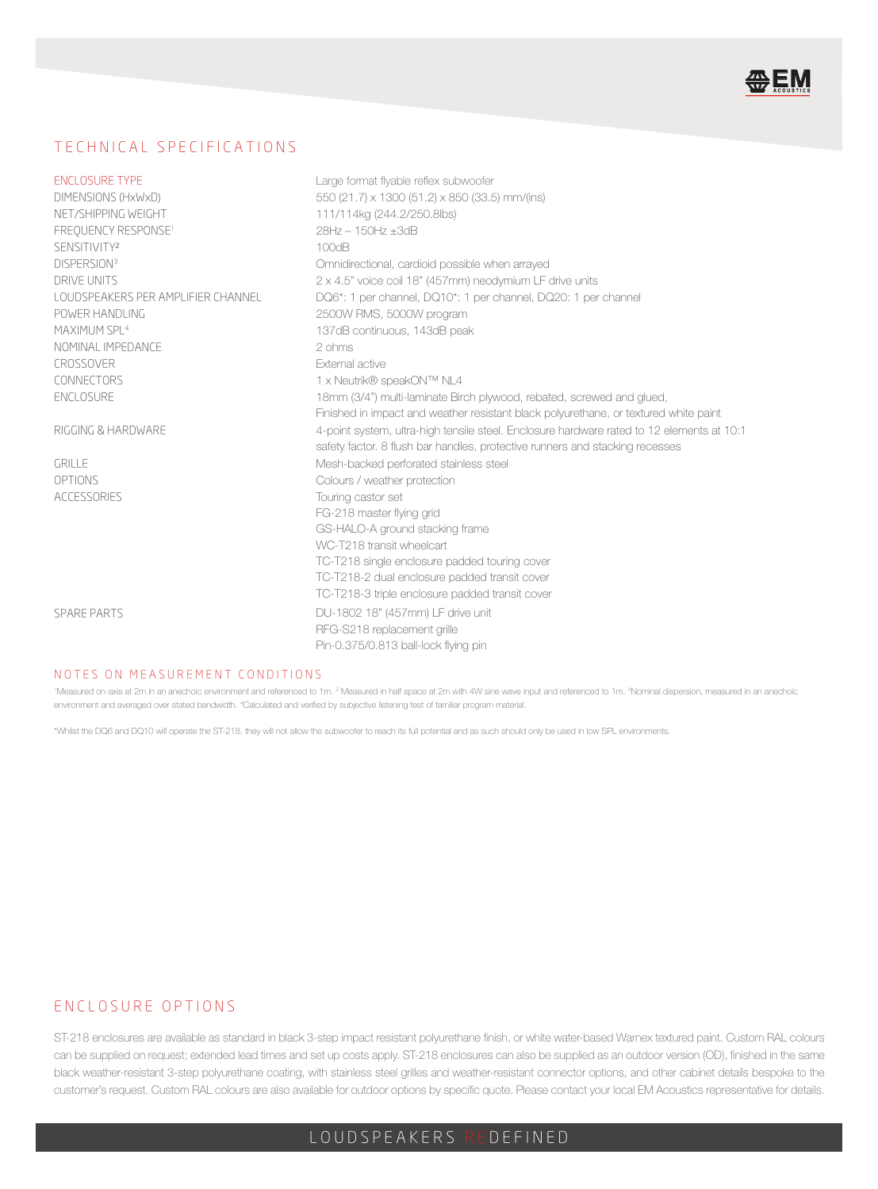

#### TECHNICAL SPECIFICATIONS

| <b>ENCLOSURE TYPE:</b>             | Large format flyable reflex subwoofer                                                     |
|------------------------------------|-------------------------------------------------------------------------------------------|
| DIMENSIONS (HxWxD)                 | 550 (21.7) x 1300 (51.2) x 850 (33.5) mm/(ins)                                            |
| NFT/SHIPPING WFIGHT:               | 111/114kg (244.2/250.8lbs)                                                                |
| FREQUENCY RESPONSE <sup>1</sup> :  | 28Hz - 150Hz +3dB                                                                         |
| SENSITIVITY <sup>2</sup> :         | 100dB                                                                                     |
| DISPERSION <sup>3</sup> :          | Omnidirectional, cardioid possible when arrayed                                           |
| DRIVE UNITS:                       | 2 x 4.5" voice coil 18" (457mm) neodymium LF drive units                                  |
| LOUDSPEAKERS PER AMPLIFIER CHANNEL | DQ6*: 1 per channel, DQ10*: 1 per channel, DQ20: 1 per channel                            |
| POWER HANDLING:                    | 2500W RMS, 5000W program                                                                  |
| MAXIMUM SPI 4:                     | 137dB continuous, 143dB peak                                                              |
| NOMINAL IMPEDANCE:                 | $2$ ohms                                                                                  |
| CROSSOVER:                         | <b>External active</b>                                                                    |
| CONNECTORS:                        | 1 x Neutrik® speakON™ NL4                                                                 |
| <b>FNCLOSURE:</b>                  | 18mm (3/4") multi-laminate Birch plywood, rebated, screwed and glued,                     |
|                                    | Finished in impact and weather resistant black polyurethane, or textured white paint      |
| RIGGING & HARDWARE:                | 4-point system, ultra-high tensile steel. Enclosure hardware rated to 12 elements at 10:1 |
|                                    | safety factor. 8 flush bar handles, protective runners and stacking recesses              |
| <b>GRILLE:</b>                     | Mesh-backed perforated stainless steel                                                    |
| OPTIONS:                           | Colours / weather protection                                                              |
| <b>ACCESSORIES</b>                 | Touring castor set                                                                        |
|                                    | FG-218 master flying grid                                                                 |
|                                    | GS-HALO-A ground stacking frame                                                           |
|                                    | WC-T218 transit wheelcart                                                                 |
|                                    | TC-T218 single enclosure padded touring cover                                             |
|                                    | TC-T218-2 dual enclosure padded transit cover                                             |
|                                    | TC-T218-3 triple enclosure padded transit cover                                           |
| <b>SPARE PARTS:</b>                | DU-1802 18" (457mm) LF drive unit                                                         |
|                                    | RFG-S218 replacement grille                                                               |
|                                    | Pin-0.375/0.813 ball-lock flying pin                                                      |
|                                    |                                                                                           |

#### NOTES ON MEASUREMENT CONDITIONS:

Measured on-axis at 2m in an anechoic environment and referenced to 1m. <sup>2</sup> Measured in half space at 2m with 4W sine wave input and referenced to 1m. <sup>3</sup>Nominal dispersion, measured in an anechoic environment and averaged over stated bandwidth. <sup>4</sup>Calculated and verified by subjective listening test of familiar program material.

\*Whilst the DQ6 and DQ10 will operate the ST-218, they will not allow the subwoofer to reach its full potential and as such should only be used in low SPL environments.

#### ENCLOSURE OPTIONS

ST-218 enclosures are available as standard in black 3-step impact resistant polyurethane finish, or white water-based Warnex textured paint. Custom RAL colours can be supplied on request; extended lead times and set up costs apply. ST-218 enclosures can also be supplied as an outdoor version (OD), finished in the same black weather-resistant 3-step polyurethane coating, with stainless steel grilles and weather-resistant connector options, and other cabinet details bespoke to the customer's request. Custom RAL colours are also available for outdoor options by specific quote. Please contact your local EM Acoustics representative for details.

## LOUDSPEAKERS REDEFINED